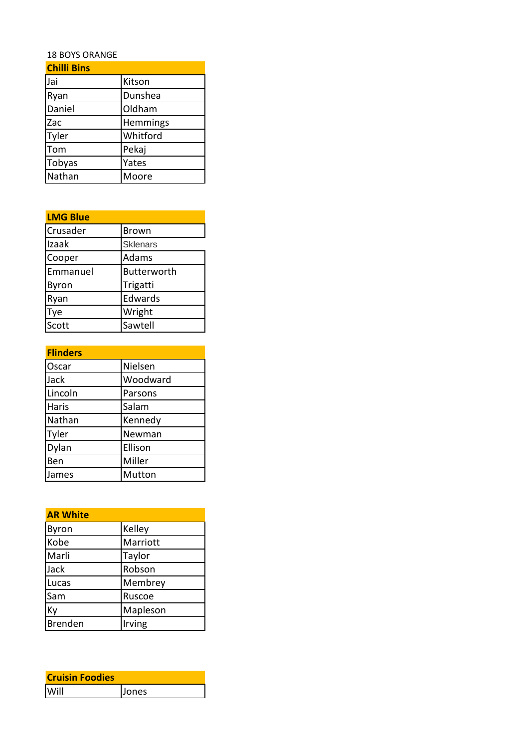## 18 BOYS ORANGE

| <b>Chilli Bins</b> |          |
|--------------------|----------|
| Jai                | Kitson   |
| Ryan               | Dunshea  |
| Daniel             | Oldham   |
| Zac                | Hemmings |
| Tyler              | Whitford |
| Tom                | Pekaj    |
| Tobyas             | Yates    |
| Nathan             | Moore    |

| <b>LMG Blue</b> |                 |
|-----------------|-----------------|
| Crusader        | <b>Brown</b>    |
| Izaak           | <b>Sklenars</b> |
| Cooper          | Adams           |
| Emmanuel        | Butterworth     |
| Byron           | Trigatti        |
| Ryan            | Edwards         |
| Tye             | Wright          |
| Scott           | Sawtell         |

| <b>Flinders</b> |          |
|-----------------|----------|
| Oscar           | Nielsen  |
| Jack            | Woodward |
| Lincoln         | Parsons  |
| <b>Haris</b>    | Salam    |
| Nathan          | Kennedy  |
| Tyler           | Newman   |
| Dylan           | Ellison  |
| Ben             | Miller   |
| James           | Mutton   |

| <b>AR White</b> |          |
|-----------------|----------|
| Byron           | Kelley   |
| Kobe            | Marriott |
| Marli           | Taylor   |
| Jack            | Robson   |
| Lucas           | Membrey  |
| Sam             | Ruscoe   |
| Ky              | Mapleson |
| <b>Brenden</b>  | Irving   |

| <b>Cruisin Foodies</b> |       |
|------------------------|-------|
| Will                   | Jones |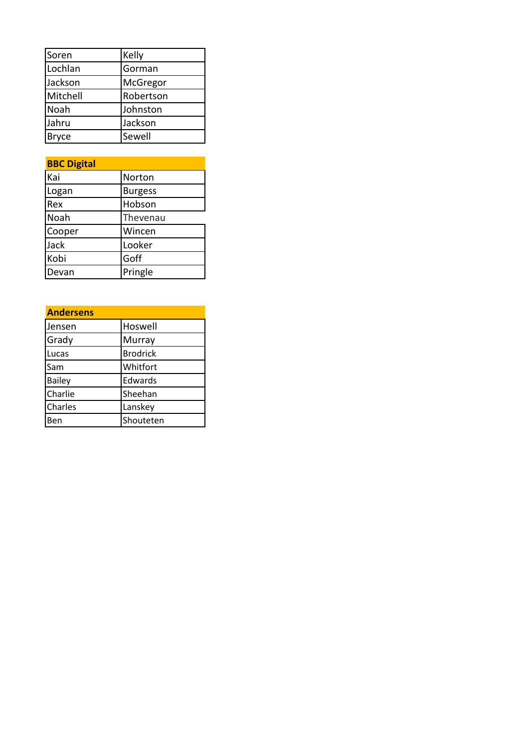| Soren        | Kelly     |
|--------------|-----------|
| Lochlan      | Gorman    |
| Jackson      | McGregor  |
| Mitchell     | Robertson |
| Noah         | Johnston  |
| Jahru        | Jackson   |
| <b>Bryce</b> | Sewell    |

| <b>BBC Digital</b> |                |
|--------------------|----------------|
| Kai                | Norton         |
| Logan              | <b>Burgess</b> |
| Rex                | Hobson         |
| Noah               | Thevenau       |
| Cooper             | Wincen         |
| Jack               | Looker         |
| Kobi               | Goff           |
| Devan              | Pringle        |

| <b>Andersens</b> |                 |
|------------------|-----------------|
| Jensen           | Hoswell         |
| Grady            | <b>Murray</b>   |
| Lucas            | <b>Brodrick</b> |
| Sam              | Whitfort        |
| <b>Bailey</b>    | Edwards         |
| Charlie          | Sheehan         |
| Charles          | Lanskey         |
|                  | Shouteten       |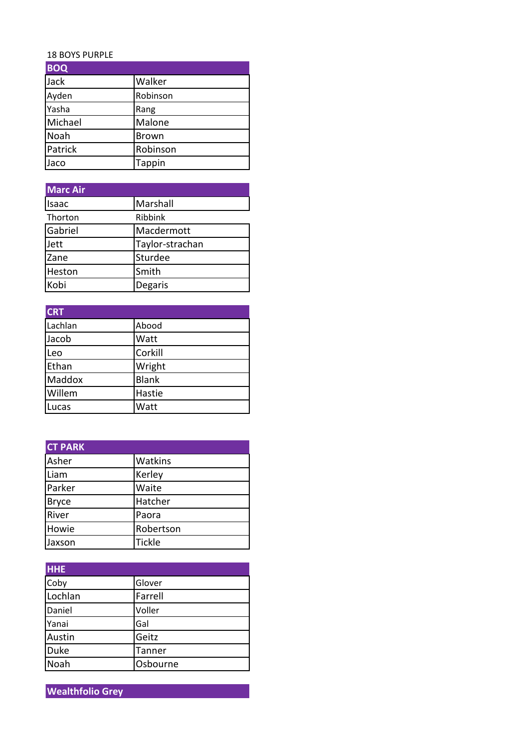## 18 BOYS PURPLE

| <b>BOQ</b> |               |
|------------|---------------|
| Jack       | Walker        |
| Ayden      | Robinson      |
| Yasha      | Rang          |
| Michael    | Malone        |
| Noah       | <b>Brown</b>  |
| Patrick    | Robinson      |
| Jaco       | <b>Tappin</b> |

| <b>Marc Air</b> |                 |
|-----------------|-----------------|
| Isaac           | Marshall        |
| Thorton         | Ribbink         |
| Gabriel         | Macdermott      |
| Jett            | Taylor-strachan |
| Zane            | Sturdee         |
| Heston          | Smith           |
| Kobi            | Degaris         |

| <b>CRT</b> |              |
|------------|--------------|
| Lachlan    | Abood        |
| Jacob      | Watt         |
| Leo        | Corkill      |
| Ethan      | Wright       |
| Maddox     | <b>Blank</b> |
| Willem     | Hastie       |
| Lucas      | Watt         |

| <b>CT PARK</b> |                |
|----------------|----------------|
| Asher          | <b>Watkins</b> |
| Liam           | Kerley         |
| Parker         | Waite          |
| <b>Bryce</b>   | Hatcher        |
| River          | Paora          |
| Howie          | Robertson      |
| Jaxson         | <b>Tickle</b>  |

| <b>HHE</b> |          |
|------------|----------|
| Coby       | Glover   |
| Lochlan    | Farrell  |
| Daniel     | Voller   |
| Yanai      | Gal      |
| Austin     | Geitz    |
| Duke       | Tanner   |
| Noah       | Osbourne |

**Wealthfolio Grey**